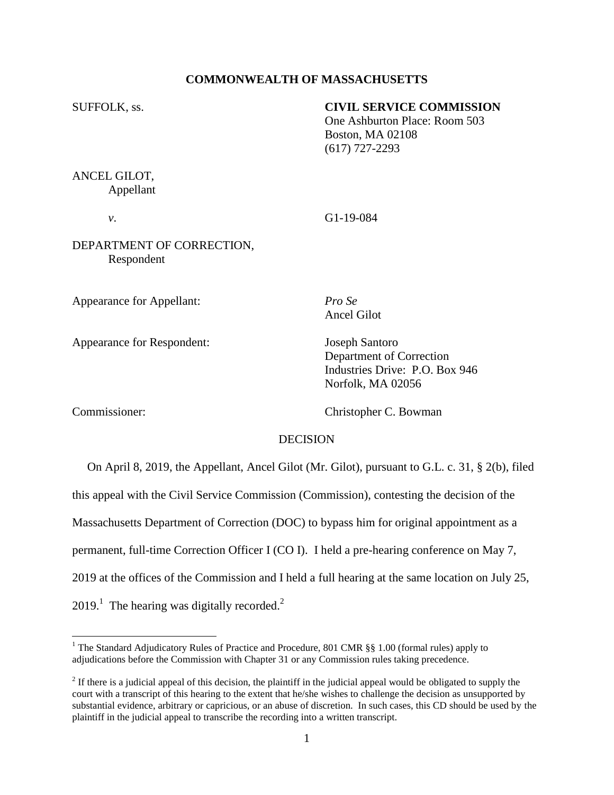# **COMMONWEALTH OF MASSACHUSETTS**

# SUFFOLK, ss. **CIVIL SERVICE COMMISSION**

One Ashburton Place: Room 503 Boston, MA 02108 (617) 727-2293

# ANCEL GILOT, Appellant

*v*. G1-19-084

# DEPARTMENT OF CORRECTION, Respondent

Appearance for Appellant: *Pro Se*

Appearance for Respondent: Joseph Santoro

Ancel Gilot

Department of Correction Industries Drive: P.O. Box 946 Norfolk, MA 02056

 $\overline{a}$ 

Commissioner: Christopher C. Bowman

### DECISION

 On April 8, 2019, the Appellant, Ancel Gilot (Mr. Gilot), pursuant to G.L. c. 31, § 2(b), filed this appeal with the Civil Service Commission (Commission), contesting the decision of the Massachusetts Department of Correction (DOC) to bypass him for original appointment as a permanent, full-time Correction Officer I (CO I). I held a pre-hearing conference on May 7, 2019 at the offices of the Commission and I held a full hearing at the same location on July 25,  $2019<sup>1</sup>$  The hearing was digitally recorded.<sup>2</sup>

<sup>&</sup>lt;sup>1</sup> The Standard Adjudicatory Rules of Practice and Procedure, 801 CMR §§ 1.00 (formal rules) apply to adjudications before the Commission with Chapter 31 or any Commission rules taking precedence.

 $2<sup>2</sup>$  If there is a judicial appeal of this decision, the plaintiff in the judicial appeal would be obligated to supply the court with a transcript of this hearing to the extent that he/she wishes to challenge the decision as unsupported by substantial evidence, arbitrary or capricious, or an abuse of discretion. In such cases, this CD should be used by the plaintiff in the judicial appeal to transcribe the recording into a written transcript.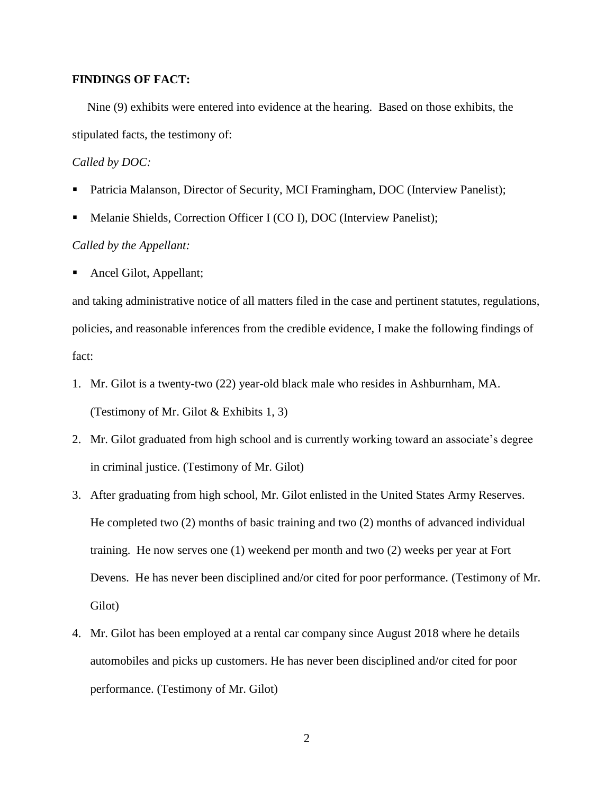### **FINDINGS OF FACT:**

Nine (9) exhibits were entered into evidence at the hearing. Based on those exhibits, the stipulated facts, the testimony of:

#### *Called by DOC:*

- Patricia Malanson, Director of Security, MCI Framingham, DOC (Interview Panelist);
- Melanie Shields, Correction Officer I (CO I), DOC (Interview Panelist);

## *Called by the Appellant:*

Ancel Gilot, Appellant;

and taking administrative notice of all matters filed in the case and pertinent statutes, regulations, policies, and reasonable inferences from the credible evidence, I make the following findings of fact:

- 1. Mr. Gilot is a twenty-two (22) year-old black male who resides in Ashburnham, MA. (Testimony of Mr. Gilot & Exhibits 1, 3)
- 2. Mr. Gilot graduated from high school and is currently working toward an associate's degree in criminal justice. (Testimony of Mr. Gilot)
- 3. After graduating from high school, Mr. Gilot enlisted in the United States Army Reserves. He completed two (2) months of basic training and two (2) months of advanced individual training. He now serves one (1) weekend per month and two (2) weeks per year at Fort Devens. He has never been disciplined and/or cited for poor performance. (Testimony of Mr. Gilot)
- 4. Mr. Gilot has been employed at a rental car company since August 2018 where he details automobiles and picks up customers. He has never been disciplined and/or cited for poor performance. (Testimony of Mr. Gilot)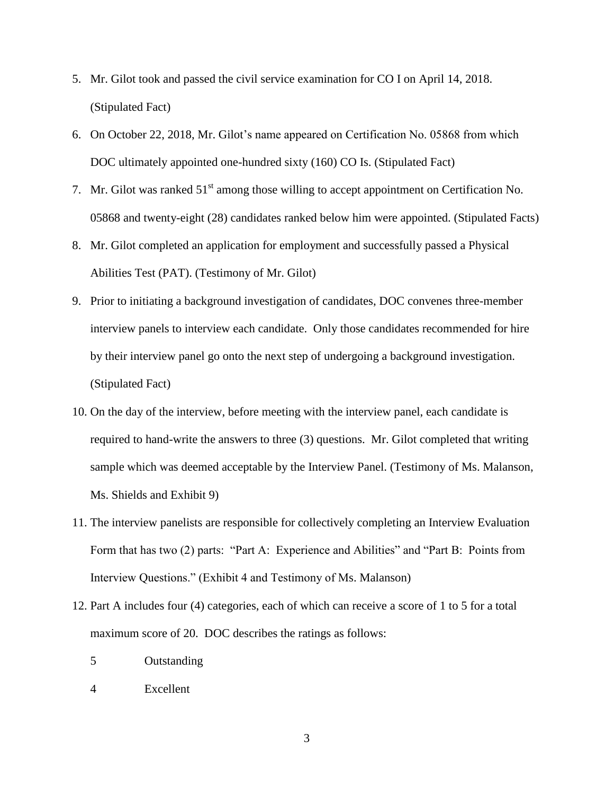- 5. Mr. Gilot took and passed the civil service examination for CO I on April 14, 2018. (Stipulated Fact)
- 6. On October 22, 2018, Mr. Gilot's name appeared on Certification No. 05868 from which DOC ultimately appointed one-hundred sixty (160) CO Is. (Stipulated Fact)
- 7. Mr. Gilot was ranked  $51<sup>st</sup>$  among those willing to accept appointment on Certification No. 05868 and twenty-eight (28) candidates ranked below him were appointed. (Stipulated Facts)
- 8. Mr. Gilot completed an application for employment and successfully passed a Physical Abilities Test (PAT). (Testimony of Mr. Gilot)
- 9. Prior to initiating a background investigation of candidates, DOC convenes three-member interview panels to interview each candidate. Only those candidates recommended for hire by their interview panel go onto the next step of undergoing a background investigation. (Stipulated Fact)
- 10. On the day of the interview, before meeting with the interview panel, each candidate is required to hand-write the answers to three (3) questions. Mr. Gilot completed that writing sample which was deemed acceptable by the Interview Panel. (Testimony of Ms. Malanson, Ms. Shields and Exhibit 9)
- 11. The interview panelists are responsible for collectively completing an Interview Evaluation Form that has two (2) parts: "Part A: Experience and Abilities" and "Part B: Points from Interview Questions." (Exhibit 4 and Testimony of Ms. Malanson)
- 12. Part A includes four (4) categories, each of which can receive a score of 1 to 5 for a total maximum score of 20. DOC describes the ratings as follows:
	- 5 Outstanding
	- 4 Excellent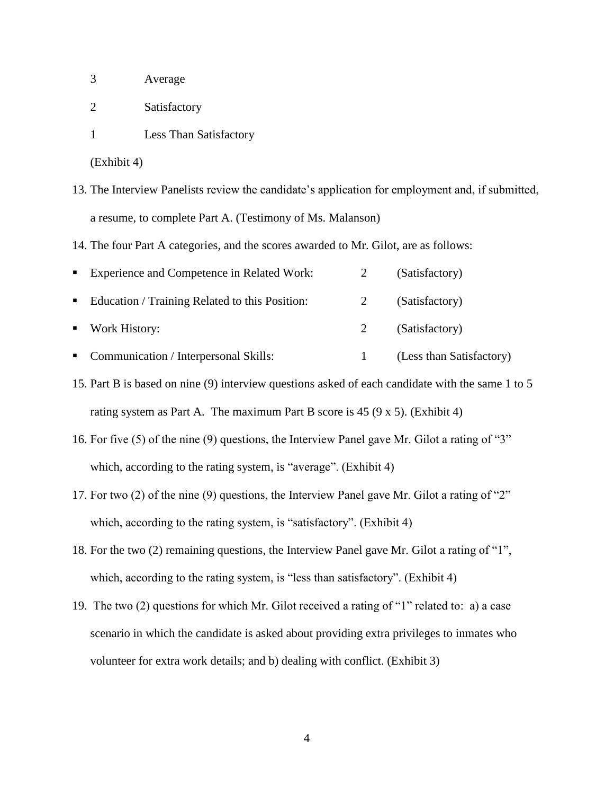- 3 Average
- 2 Satisfactory
- 1 Less Than Satisfactory

(Exhibit 4)

13. The Interview Panelists review the candidate's application for employment and, if submitted, a resume, to complete Part A. (Testimony of Ms. Malanson)

14. The four Part A categories, and the scores awarded to Mr. Gilot, are as follows:

| $\mathbf{r}$ | Experience and Competence in Related Work:     | (Satisfactory) |
|--------------|------------------------------------------------|----------------|
| . .          | Education / Training Related to this Position: | (Satisfactory) |
|              | Work History:                                  | (Satisfactory) |

• Communication / Interpersonal Skills: 1 (Less than Satisfactory)

15. Part B is based on nine (9) interview questions asked of each candidate with the same 1 to 5 rating system as Part A. The maximum Part B score is  $45 (9 \times 5)$ . (Exhibit 4)

- 16. For five (5) of the nine (9) questions, the Interview Panel gave Mr. Gilot a rating of "3" which, according to the rating system, is "average". (Exhibit 4)
- 17. For two (2) of the nine (9) questions, the Interview Panel gave Mr. Gilot a rating of "2" which, according to the rating system, is "satisfactory". (Exhibit 4)
- 18. For the two (2) remaining questions, the Interview Panel gave Mr. Gilot a rating of "1", which, according to the rating system, is "less than satisfactory". (Exhibit 4)
- 19. The two (2) questions for which Mr. Gilot received a rating of "1" related to: a) a case scenario in which the candidate is asked about providing extra privileges to inmates who volunteer for extra work details; and b) dealing with conflict. (Exhibit 3)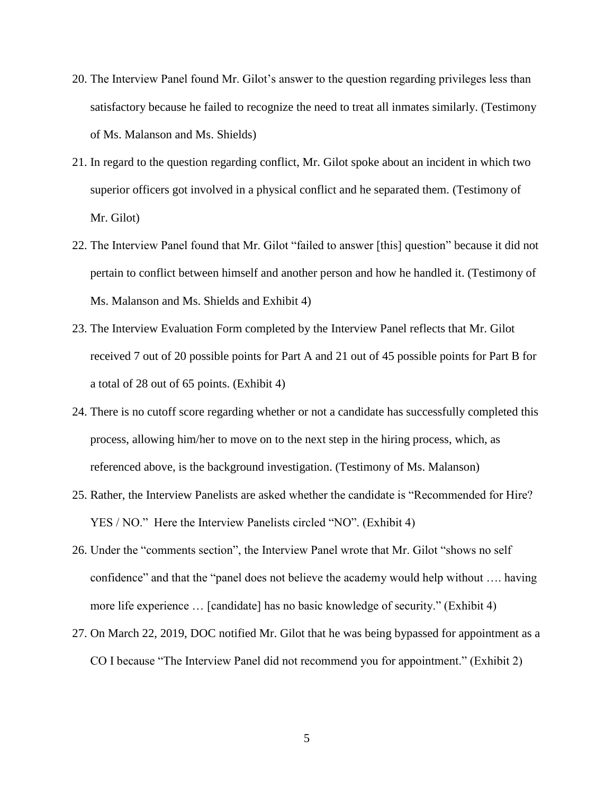- 20. The Interview Panel found Mr. Gilot's answer to the question regarding privileges less than satisfactory because he failed to recognize the need to treat all inmates similarly. (Testimony of Ms. Malanson and Ms. Shields)
- 21. In regard to the question regarding conflict, Mr. Gilot spoke about an incident in which two superior officers got involved in a physical conflict and he separated them. (Testimony of Mr. Gilot)
- 22. The Interview Panel found that Mr. Gilot "failed to answer [this] question" because it did not pertain to conflict between himself and another person and how he handled it. (Testimony of Ms. Malanson and Ms. Shields and Exhibit 4)
- 23. The Interview Evaluation Form completed by the Interview Panel reflects that Mr. Gilot received 7 out of 20 possible points for Part A and 21 out of 45 possible points for Part B for a total of 28 out of 65 points. (Exhibit 4)
- 24. There is no cutoff score regarding whether or not a candidate has successfully completed this process, allowing him/her to move on to the next step in the hiring process, which, as referenced above, is the background investigation. (Testimony of Ms. Malanson)
- 25. Rather, the Interview Panelists are asked whether the candidate is "Recommended for Hire? YES / NO." Here the Interview Panelists circled "NO". (Exhibit 4)
- 26. Under the "comments section", the Interview Panel wrote that Mr. Gilot "shows no self confidence" and that the "panel does not believe the academy would help without …. having more life experience … [candidate] has no basic knowledge of security." (Exhibit 4)
- 27. On March 22, 2019, DOC notified Mr. Gilot that he was being bypassed for appointment as a CO I because "The Interview Panel did not recommend you for appointment." (Exhibit 2)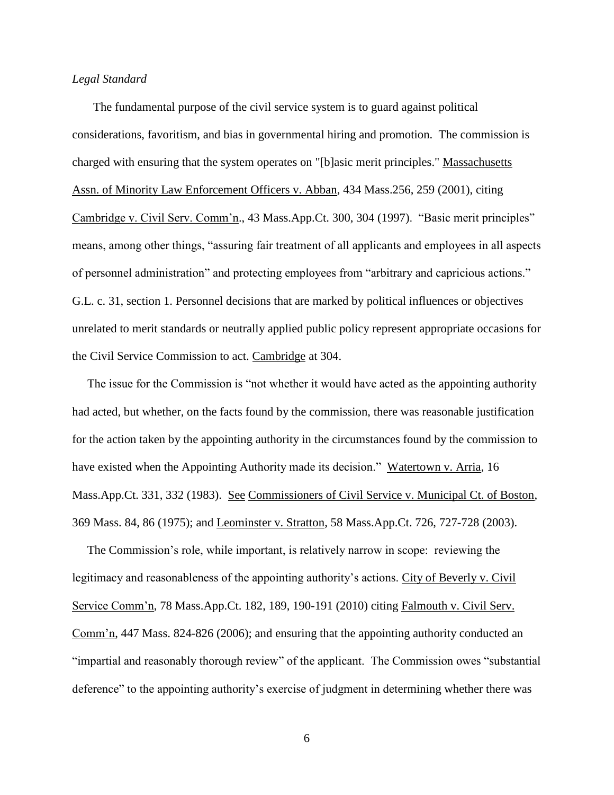### *Legal Standard*

 The fundamental purpose of the civil service system is to guard against political considerations, favoritism, and bias in governmental hiring and promotion. The commission is charged with ensuring that the system operates on "[b]asic merit principles." Massachusetts Assn. of Minority Law Enforcement Officers v. Abban, 434 Mass.256, 259 (2001), citing Cambridge v. Civil Serv. Comm'n., 43 Mass.App.Ct. 300, 304 (1997). "Basic merit principles" means, among other things, "assuring fair treatment of all applicants and employees in all aspects of personnel administration" and protecting employees from "arbitrary and capricious actions." G.L. c. 31, section 1. Personnel decisions that are marked by political influences or objectives unrelated to merit standards or neutrally applied public policy represent appropriate occasions for the Civil Service Commission to act. Cambridge at 304.

 The issue for the Commission is "not whether it would have acted as the appointing authority had acted, but whether, on the facts found by the commission, there was reasonable justification for the action taken by the appointing authority in the circumstances found by the commission to have existed when the Appointing Authority made its decision." Watertown v. Arria, 16 Mass.App.Ct. 331, 332 (1983). See Commissioners of Civil Service v. Municipal Ct. of Boston, 369 Mass. 84, 86 (1975); and Leominster v. Stratton, 58 Mass.App.Ct. 726, 727-728 (2003).

 The Commission's role, while important, is relatively narrow in scope: reviewing the legitimacy and reasonableness of the appointing authority's actions. City of Beverly v. Civil Service Comm'n, 78 Mass.App.Ct. 182, 189, 190-191 (2010) citing Falmouth v. Civil Serv. Comm'n, 447 Mass. 824-826 (2006); and ensuring that the appointing authority conducted an "impartial and reasonably thorough review" of the applicant. The Commission owes "substantial deference" to the appointing authority's exercise of judgment in determining whether there was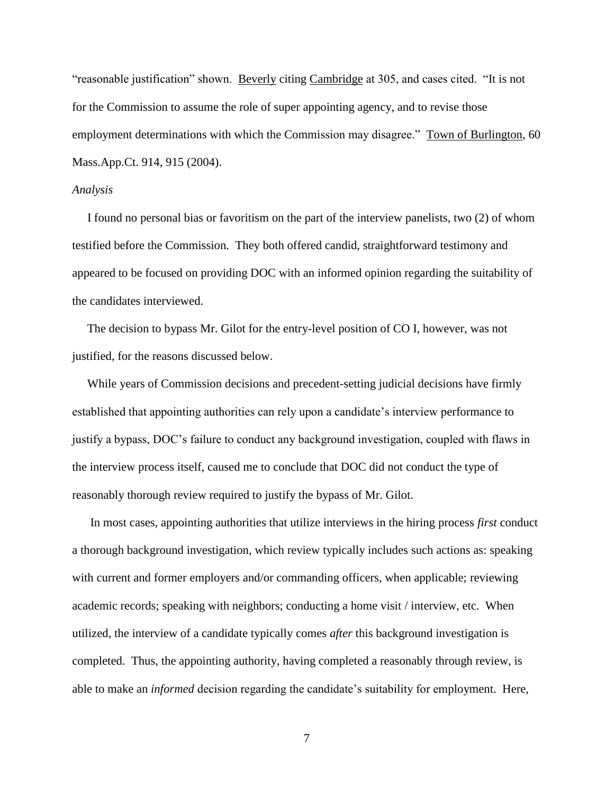"reasonable justification" shown. Beverly citing Cambridge at 305, and cases cited. "It is not for the Commission to assume the role of super appointing agency, and to revise those employment determinations with which the Commission may disagree." Town of Burlington, 60 Mass.App.Ct. 914, 915 (2004).

#### *Analysis*

 I found no personal bias or favoritism on the part of the interview panelists, two (2) of whom testified before the Commission. They both offered candid, straightforward testimony and appeared to be focused on providing DOC with an informed opinion regarding the suitability of the candidates interviewed.

 The decision to bypass Mr. Gilot for the entry-level position of CO I, however, was not justified, for the reasons discussed below.

 While years of Commission decisions and precedent-setting judicial decisions have firmly established that appointing authorities can rely upon a candidate's interview performance to justify a bypass, DOC's failure to conduct any background investigation, coupled with flaws in the interview process itself, caused me to conclude that DOC did not conduct the type of reasonably thorough review required to justify the bypass of Mr. Gilot.

 In most cases, appointing authorities that utilize interviews in the hiring process *first* conduct a thorough background investigation, which review typically includes such actions as: speaking with current and former employers and/or commanding officers, when applicable; reviewing academic records; speaking with neighbors; conducting a home visit / interview, etc. When utilized, the interview of a candidate typically comes *after* this background investigation is completed. Thus, the appointing authority, having completed a reasonably through review, is able to make an *informed* decision regarding the candidate's suitability for employment. Here,

7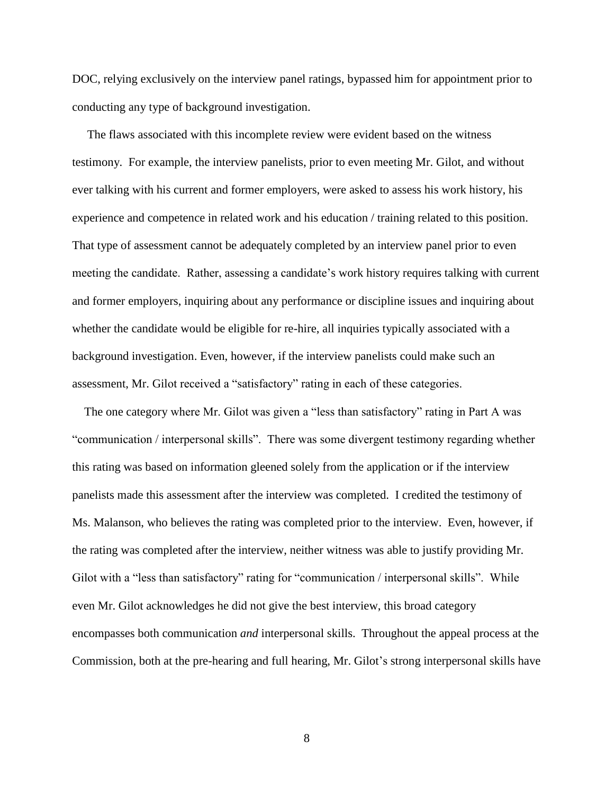DOC, relying exclusively on the interview panel ratings, bypassed him for appointment prior to conducting any type of background investigation.

 The flaws associated with this incomplete review were evident based on the witness testimony. For example, the interview panelists, prior to even meeting Mr. Gilot, and without ever talking with his current and former employers, were asked to assess his work history, his experience and competence in related work and his education / training related to this position. That type of assessment cannot be adequately completed by an interview panel prior to even meeting the candidate. Rather, assessing a candidate's work history requires talking with current and former employers, inquiring about any performance or discipline issues and inquiring about whether the candidate would be eligible for re-hire, all inquiries typically associated with a background investigation. Even, however, if the interview panelists could make such an assessment, Mr. Gilot received a "satisfactory" rating in each of these categories.

 The one category where Mr. Gilot was given a "less than satisfactory" rating in Part A was "communication / interpersonal skills". There was some divergent testimony regarding whether this rating was based on information gleened solely from the application or if the interview panelists made this assessment after the interview was completed. I credited the testimony of Ms. Malanson, who believes the rating was completed prior to the interview. Even, however, if the rating was completed after the interview, neither witness was able to justify providing Mr. Gilot with a "less than satisfactory" rating for "communication / interpersonal skills". While even Mr. Gilot acknowledges he did not give the best interview, this broad category encompasses both communication *and* interpersonal skills. Throughout the appeal process at the Commission, both at the pre-hearing and full hearing, Mr. Gilot's strong interpersonal skills have

8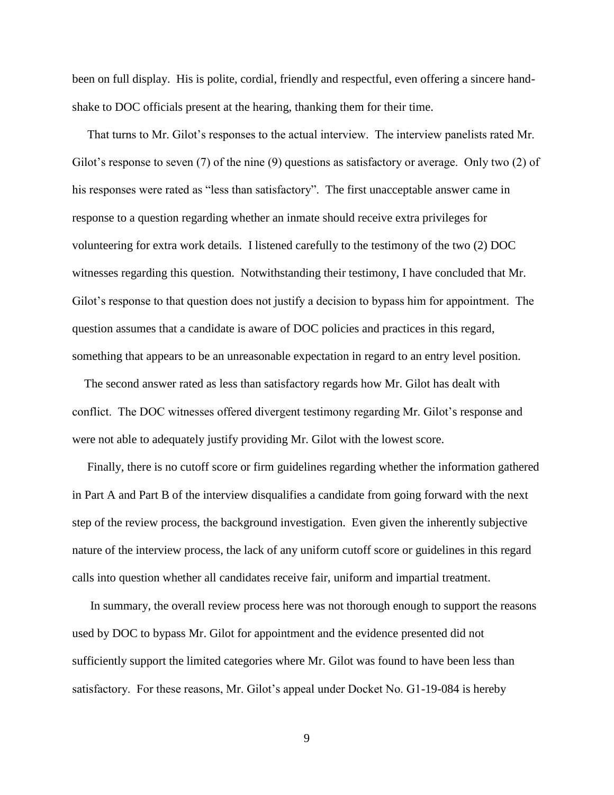been on full display. His is polite, cordial, friendly and respectful, even offering a sincere handshake to DOC officials present at the hearing, thanking them for their time.

 That turns to Mr. Gilot's responses to the actual interview. The interview panelists rated Mr. Gilot's response to seven (7) of the nine (9) questions as satisfactory or average. Only two (2) of his responses were rated as "less than satisfactory". The first unacceptable answer came in response to a question regarding whether an inmate should receive extra privileges for volunteering for extra work details. I listened carefully to the testimony of the two (2) DOC witnesses regarding this question. Notwithstanding their testimony, I have concluded that Mr. Gilot's response to that question does not justify a decision to bypass him for appointment. The question assumes that a candidate is aware of DOC policies and practices in this regard, something that appears to be an unreasonable expectation in regard to an entry level position.

 The second answer rated as less than satisfactory regards how Mr. Gilot has dealt with conflict. The DOC witnesses offered divergent testimony regarding Mr. Gilot's response and were not able to adequately justify providing Mr. Gilot with the lowest score.

 Finally, there is no cutoff score or firm guidelines regarding whether the information gathered in Part A and Part B of the interview disqualifies a candidate from going forward with the next step of the review process, the background investigation. Even given the inherently subjective nature of the interview process, the lack of any uniform cutoff score or guidelines in this regard calls into question whether all candidates receive fair, uniform and impartial treatment.

 In summary, the overall review process here was not thorough enough to support the reasons used by DOC to bypass Mr. Gilot for appointment and the evidence presented did not sufficiently support the limited categories where Mr. Gilot was found to have been less than satisfactory. For these reasons, Mr. Gilot's appeal under Docket No. G1-19-084 is hereby

9